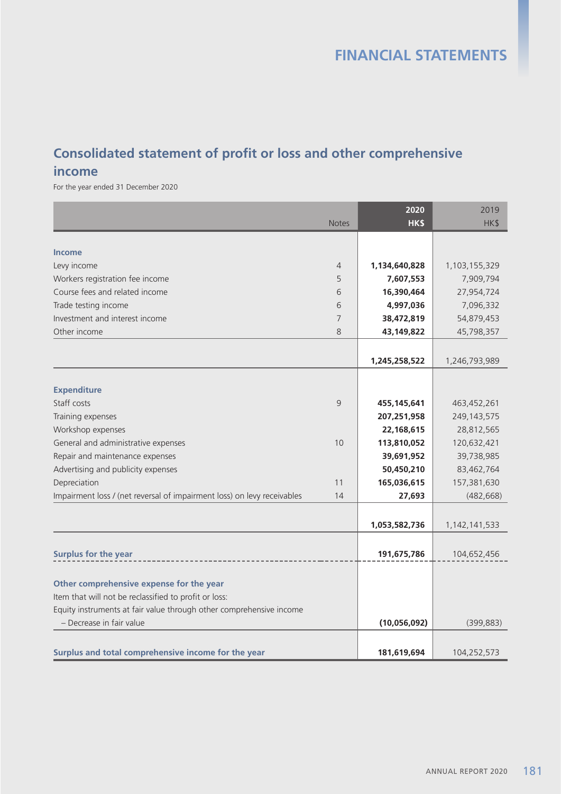# **Consolidated statement of profit or loss and other comprehensive**

#### **income**

For the year ended 31 December 2020

|                                                                         |              | 2020          | 2019             |
|-------------------------------------------------------------------------|--------------|---------------|------------------|
|                                                                         | <b>Notes</b> | HK\$          | HK\$             |
|                                                                         |              |               |                  |
| <b>Income</b>                                                           |              |               |                  |
| Levy income                                                             | 4            | 1,134,640,828 | 1,103,155,329    |
| Workers registration fee income                                         | 5            | 7,607,553     | 7,909,794        |
| Course fees and related income                                          | 6            | 16,390,464    | 27,954,724       |
| Trade testing income                                                    | 6            | 4,997,036     | 7,096,332        |
| Investment and interest income                                          | 7            | 38,472,819    | 54,879,453       |
| Other income                                                            | 8            | 43,149,822    | 45,798,357       |
|                                                                         |              |               |                  |
|                                                                         |              | 1,245,258,522 | 1,246,793,989    |
|                                                                         |              |               |                  |
| <b>Expenditure</b>                                                      |              |               |                  |
| Staff costs                                                             | 9            | 455, 145, 641 | 463,452,261      |
| Training expenses                                                       |              | 207,251,958   | 249, 143, 575    |
| Workshop expenses                                                       |              | 22,168,615    | 28,812,565       |
| General and administrative expenses                                     | 10           | 113,810,052   | 120,632,421      |
| Repair and maintenance expenses                                         |              | 39,691,952    | 39,738,985       |
| Advertising and publicity expenses                                      |              | 50,450,210    | 83,462,764       |
| Depreciation                                                            | 11           | 165,036,615   | 157,381,630      |
| Impairment loss / (net reversal of impairment loss) on levy receivables | 14           | 27,693        | (482, 668)       |
|                                                                         |              |               |                  |
|                                                                         |              | 1,053,582,736 | 1, 142, 141, 533 |
|                                                                         |              |               |                  |
| Surplus for the year                                                    |              | 191,675,786   | 104,652,456      |
|                                                                         |              |               |                  |
| Other comprehensive expense for the year                                |              |               |                  |
| Item that will not be reclassified to profit or loss:                   |              |               |                  |
| Equity instruments at fair value through other comprehensive income     |              |               |                  |
| - Decrease in fair value                                                |              | (10,056,092)  | (399, 883)       |
|                                                                         |              |               |                  |
| Surplus and total comprehensive income for the year                     |              | 181,619,694   | 104,252,573      |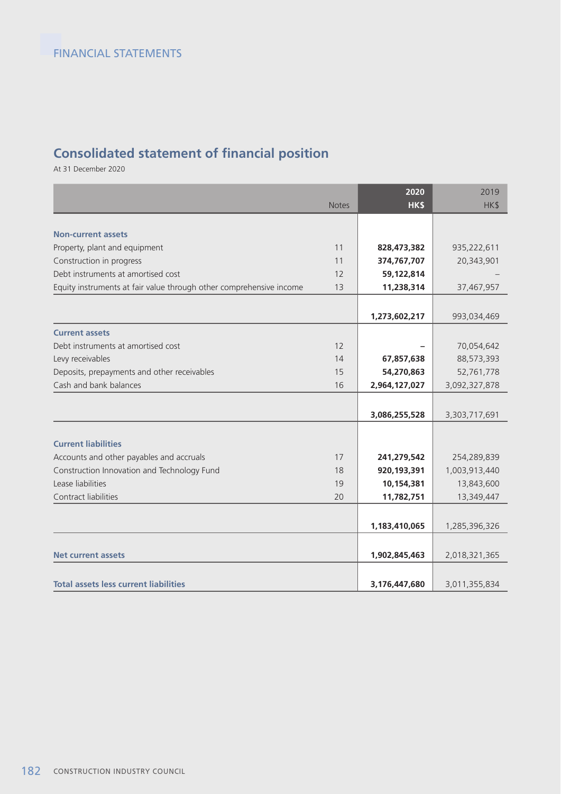## **Consolidated statement of financial position**

At 31 December 2020

|                                                                     |              | 2020          | 2019          |
|---------------------------------------------------------------------|--------------|---------------|---------------|
|                                                                     | <b>Notes</b> | <b>HKS</b>    | HK\$          |
|                                                                     |              |               |               |
| <b>Non-current assets</b>                                           |              |               |               |
| Property, plant and equipment                                       | 11           | 828,473,382   | 935,222,611   |
| Construction in progress                                            | 11           | 374,767,707   | 20,343,901    |
| Debt instruments at amortised cost                                  | 12           | 59,122,814    |               |
| Equity instruments at fair value through other comprehensive income | 13           | 11,238,314    | 37,467,957    |
|                                                                     |              |               |               |
|                                                                     |              | 1,273,602,217 | 993,034,469   |
| <b>Current assets</b>                                               |              |               |               |
| Debt instruments at amortised cost                                  | 12           |               | 70,054,642    |
| Levy receivables                                                    | 14           | 67,857,638    | 88,573,393    |
| Deposits, prepayments and other receivables                         | 15           | 54,270,863    | 52,761,778    |
| Cash and bank balances                                              | 16           | 2,964,127,027 | 3,092,327,878 |
|                                                                     |              |               |               |
|                                                                     |              | 3,086,255,528 | 3,303,717,691 |
|                                                                     |              |               |               |
| <b>Current liabilities</b>                                          |              |               |               |
| Accounts and other payables and accruals                            | 17           | 241,279,542   | 254,289,839   |
| Construction Innovation and Technology Fund                         | 18           | 920,193,391   | 1,003,913,440 |
| Lease liabilities                                                   | 19           | 10,154,381    | 13,843,600    |
| Contract liabilities                                                | 20           | 11,782,751    | 13,349,447    |
|                                                                     |              |               |               |
|                                                                     |              | 1,183,410,065 | 1,285,396,326 |
|                                                                     |              |               |               |
| <b>Net current assets</b>                                           |              | 1,902,845,463 | 2,018,321,365 |
|                                                                     |              |               |               |
| <b>Total assets less current liabilities</b>                        |              | 3,176,447,680 | 3,011,355,834 |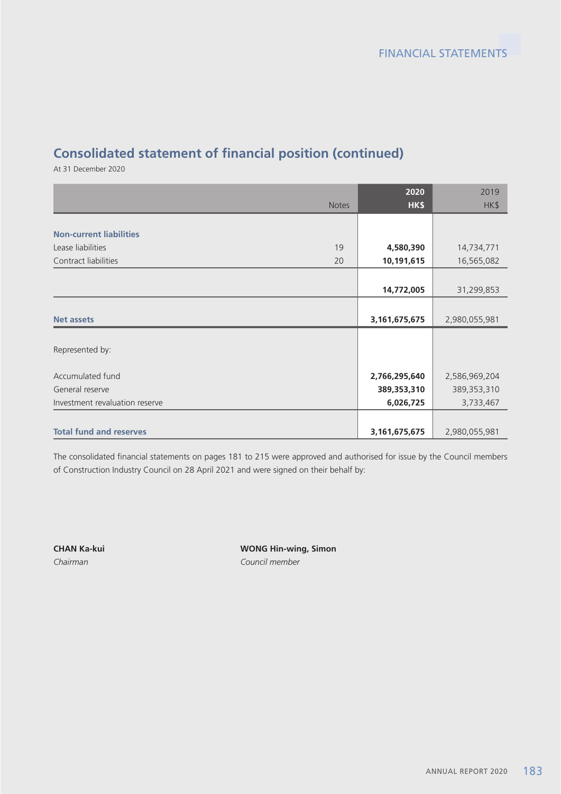# **Consolidated statement of financial position (continued)**

At 31 December 2020

|                                |              | 2020          | 2019          |
|--------------------------------|--------------|---------------|---------------|
|                                | <b>Notes</b> | HK\$          | HK\$          |
|                                |              |               |               |
| <b>Non-current liabilities</b> |              |               |               |
| Lease liabilities              | 19           | 4,580,390     | 14,734,771    |
| Contract liabilities           | 20           | 10,191,615    | 16,565,082    |
|                                |              |               |               |
|                                |              | 14,772,005    | 31,299,853    |
|                                |              |               |               |
| <b>Net assets</b>              |              | 3,161,675,675 | 2,980,055,981 |
|                                |              |               |               |
| Represented by:                |              |               |               |
|                                |              |               |               |
| Accumulated fund               |              | 2,766,295,640 | 2,586,969,204 |
| General reserve                |              | 389,353,310   | 389, 353, 310 |
| Investment revaluation reserve |              | 6,026,725     | 3,733,467     |
|                                |              |               |               |
| <b>Total fund and reserves</b> |              | 3,161,675,675 | 2,980,055,981 |

The consolidated financial statements on pages 181 to 215 were approved and authorised for issue by the Council members of Construction Industry Council on 28 April 2021 and were signed on their behalf by:

**CHAN Ka-kui WONG Hin-wing, Simon** *Chairman Council member*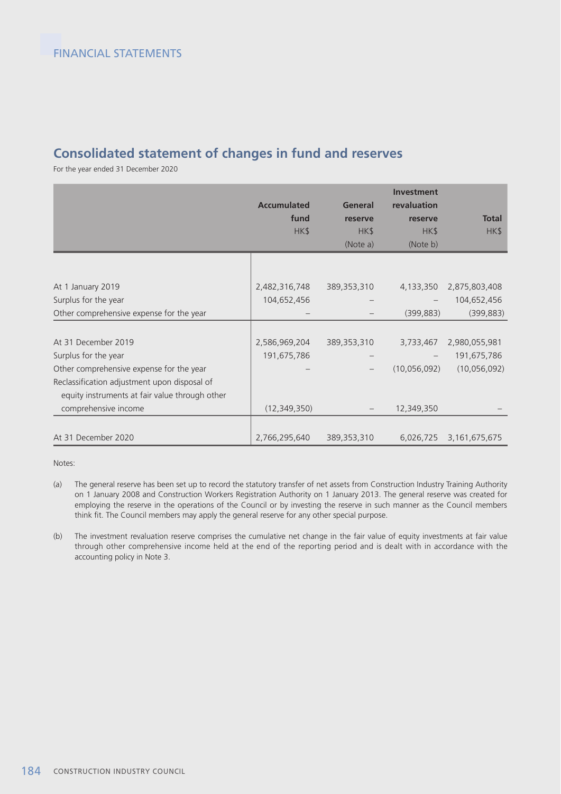#### **Consolidated statement of changes in fund and reserves**

For the year ended 31 December 2020

|                                                | <b>Accumulated</b><br>fund<br>HK\$ | <b>General</b><br>reserve<br>HK\$<br>(Note a) | <b>Investment</b><br>revaluation<br>reserve<br>HK\$<br>(Note b) | <b>Total</b><br>HK\$ |
|------------------------------------------------|------------------------------------|-----------------------------------------------|-----------------------------------------------------------------|----------------------|
|                                                |                                    |                                               |                                                                 |                      |
| At 1 January 2019                              | 2,482,316,748                      | 389,353,310                                   | 4,133,350                                                       | 2,875,803,408        |
| Surplus for the year                           | 104,652,456                        |                                               |                                                                 | 104,652,456          |
| Other comprehensive expense for the year       |                                    |                                               | (399, 883)                                                      | (399, 883)           |
|                                                |                                    |                                               |                                                                 |                      |
| At 31 December 2019                            | 2,586,969,204                      | 389, 353, 310                                 | 3,733,467                                                       | 2,980,055,981        |
| Surplus for the year                           | 191,675,786                        |                                               |                                                                 | 191,675,786          |
| Other comprehensive expense for the year       |                                    | $\qquad \qquad -$                             | (10,056,092)                                                    | (10,056,092)         |
| Reclassification adjustment upon disposal of   |                                    |                                               |                                                                 |                      |
| equity instruments at fair value through other |                                    |                                               |                                                                 |                      |
| comprehensive income                           | (12, 349, 350)                     |                                               | 12,349,350                                                      |                      |
|                                                |                                    |                                               |                                                                 |                      |
| At 31 December 2020                            | 2,766,295,640                      | 389,353,310                                   | 6,026,725                                                       | 3,161,675,675        |

Notes:

- (a) The general reserve has been set up to record the statutory transfer of net assets from Construction Industry Training Authority on 1 January 2008 and Construction Workers Registration Authority on 1 January 2013. The general reserve was created for employing the reserve in the operations of the Council or by investing the reserve in such manner as the Council members think fit. The Council members may apply the general reserve for any other special purpose.
- (b) The investment revaluation reserve comprises the cumulative net change in the fair value of equity investments at fair value through other comprehensive income held at the end of the reporting period and is dealt with in accordance with the accounting policy in Note 3.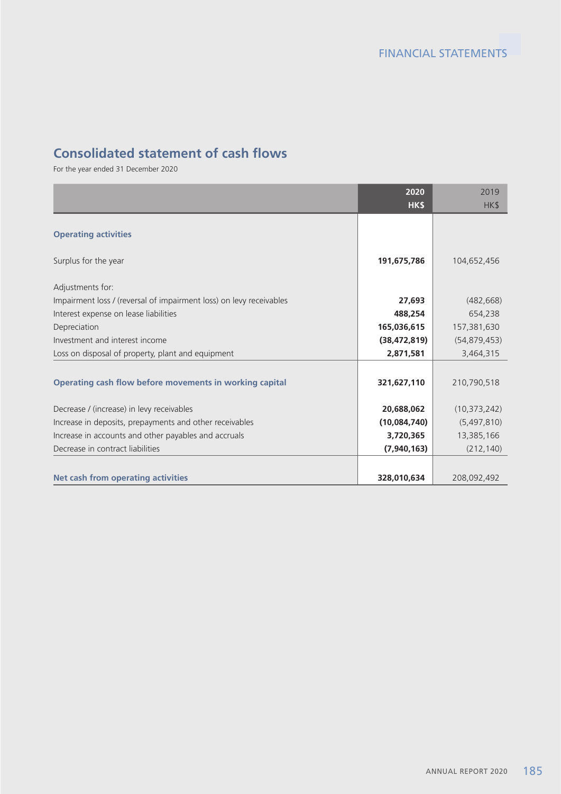#### **Consolidated statement of cash flows**

For the year ended 31 December 2020

|                                                                     | 2020           | 2019           |
|---------------------------------------------------------------------|----------------|----------------|
|                                                                     | HK\$           | HK\$           |
|                                                                     |                |                |
| <b>Operating activities</b>                                         |                |                |
|                                                                     |                |                |
| Surplus for the year                                                | 191,675,786    | 104,652,456    |
| Adjustments for:                                                    |                |                |
| Impairment loss / (reversal of impairment loss) on levy receivables | 27,693         | (482, 668)     |
| Interest expense on lease liabilities                               | 488,254        | 654,238        |
| Depreciation                                                        | 165,036,615    | 157,381,630    |
| Investment and interest income                                      | (38, 472, 819) | (54, 879, 453) |
| Loss on disposal of property, plant and equipment                   | 2,871,581      | 3,464,315      |
|                                                                     |                |                |
| Operating cash flow before movements in working capital             | 321,627,110    | 210,790,518    |
|                                                                     |                |                |
| Decrease / (increase) in levy receivables                           | 20,688,062     | (10, 373, 242) |
| Increase in deposits, prepayments and other receivables             | (10,084,740)   | (5,497,810)    |
| Increase in accounts and other payables and accruals                | 3,720,365      | 13,385,166     |
| Decrease in contract liabilities                                    | (7,940,163)    | (212, 140)     |
|                                                                     |                |                |
| <b>Net cash from operating activities</b>                           | 328,010,634    | 208,092,492    |